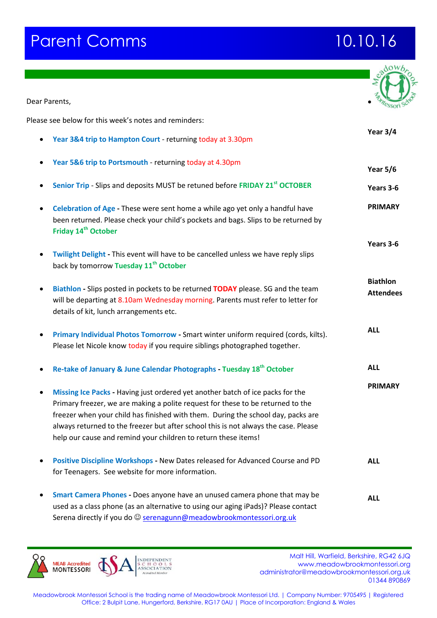## **Parent Comms 10.10.16**

| Dear Parents,                                                                                                                                                                                                                                                                                                                                                                                                  |                                     |
|----------------------------------------------------------------------------------------------------------------------------------------------------------------------------------------------------------------------------------------------------------------------------------------------------------------------------------------------------------------------------------------------------------------|-------------------------------------|
| Please see below for this week's notes and reminders:                                                                                                                                                                                                                                                                                                                                                          |                                     |
|                                                                                                                                                                                                                                                                                                                                                                                                                | Year 3/4                            |
| Year 3&4 trip to Hampton Court - returning today at 3.30pm                                                                                                                                                                                                                                                                                                                                                     |                                     |
| Year 5&6 trip to Portsmouth - returning today at 4.30pm                                                                                                                                                                                                                                                                                                                                                        | <b>Year 5/6</b>                     |
| Senior Trip - Slips and deposits MUST be retuned before FRIDAY 21 <sup>st</sup> OCTOBER                                                                                                                                                                                                                                                                                                                        | Years 3-6                           |
| Celebration of Age - These were sent home a while ago yet only a handful have<br>been returned. Please check your child's pockets and bags. Slips to be returned by<br>Friday 14 <sup>th</sup> October                                                                                                                                                                                                         | <b>PRIMARY</b>                      |
| Twilight Delight - This event will have to be cancelled unless we have reply slips<br>back by tomorrow Tuesday 11 <sup>th</sup> October                                                                                                                                                                                                                                                                        | Years 3-6                           |
| Biathlon - Slips posted in pockets to be returned TODAY please. SG and the team<br>will be departing at 8.10am Wednesday morning. Parents must refer to letter for<br>details of kit, lunch arrangements etc.                                                                                                                                                                                                  | <b>Biathlon</b><br><b>Attendees</b> |
| Primary Individual Photos Tomorrow - Smart winter uniform required (cords, kilts).<br>٠<br>Please let Nicole know today if you require siblings photographed together.                                                                                                                                                                                                                                         | <b>ALL</b>                          |
| Re-take of January & June Calendar Photographs - Tuesday 18 <sup>th</sup> October                                                                                                                                                                                                                                                                                                                              | <b>ALL</b>                          |
| Missing Ice Packs - Having just ordered yet another batch of ice packs for the<br>Primary freezer, we are making a polite request for these to be returned to the<br>freezer when your child has finished with them. During the school day, packs are<br>always returned to the freezer but after school this is not always the case. Please<br>help our cause and remind your children to return these items! | <b>PRIMARY</b>                      |
| Positive Discipline Workshops - New Dates released for Advanced Course and PD<br>for Teenagers. See website for more information.                                                                                                                                                                                                                                                                              | <b>ALL</b>                          |
| Smart Camera Phones - Does anyone have an unused camera phone that may be<br>used as a class phone (as an alternative to using our aging iPads)? Please contact<br>Serena directly if you do @ serenagunn@meadowbrookmontessori.org.uk                                                                                                                                                                         | <b>ALL</b>                          |

Malt Hill, Warfield, Berkshire, RG42 6JQ<br>
MALT ESSORI SCHOOLS<br>
MONTESSORI ASSOCIATION<br>
ASSOCIATION<br>
A ASSOCIATION CONTRACT COMPROMOTO CONTROLS CONTRACT CONTRACT CONTRACT CONTRACT CONTRACT CONTRACT CONTRACT CONTRACT CONTRAC www.meadowbrookmontessori.org [administrator@meadowbrookmontessori.org.uk](mailto:administrator@meadowbrookmontessori.org.uk) 01344 890869

Meadowbrook Montessori School is the trading name of Meadowbrook Montessori Ltd. | Company Number: 9705495 | Registered Office: 2 Bulpit Lane, Hungerford, Berkshire, RG17 0AU | Place of Incorporation: England & Wales